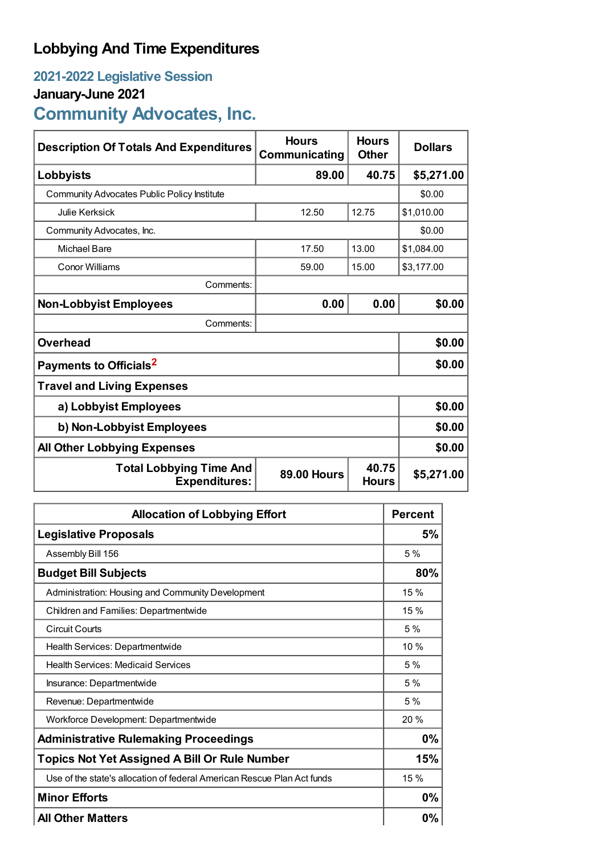## **Lobbying And Time Expenditures**

## **2021-2022 Legislative Session**

## **January-June 2021**

# **Community Advocates, Inc.**

| <b>Description Of Totals And Expenditures</b>          | <b>Hours</b><br>Communicating | <b>Hours</b><br><b>Other</b> | <b>Dollars</b> |
|--------------------------------------------------------|-------------------------------|------------------------------|----------------|
| Lobbyists                                              | 89.00                         | 40.75                        | \$5,271.00     |
| <b>Community Advocates Public Policy Institute</b>     |                               |                              | \$0.00         |
| <b>Julie Kerksick</b>                                  | 12.50                         | 12.75                        | \$1,010.00     |
| Community Advocates, Inc.                              |                               |                              | \$0.00         |
| <b>Michael Bare</b>                                    | 17.50                         | 13.00                        | \$1,084.00     |
| <b>Conor Williams</b>                                  | 59.00                         | 15.00                        | \$3,177.00     |
| Comments:                                              |                               |                              |                |
| <b>Non-Lobbyist Employees</b>                          | 0.00                          | 0.00                         | \$0.00         |
| Comments:                                              |                               |                              |                |
| <b>Overhead</b>                                        |                               |                              | \$0.00         |
| Payments to Officials <sup>2</sup>                     |                               |                              | \$0.00         |
| <b>Travel and Living Expenses</b>                      |                               |                              |                |
| a) Lobbyist Employees                                  |                               |                              | \$0.00         |
| b) Non-Lobbyist Employees                              |                               |                              | \$0.00         |
| <b>All Other Lobbying Expenses</b>                     |                               |                              | \$0.00         |
| <b>Total Lobbying Time And</b><br><b>Expenditures:</b> | <b>89.00 Hours</b>            | 40.75<br><b>Hours</b>        | \$5,271.00     |

| <b>Allocation of Lobbying Effort</b>                                    |       |
|-------------------------------------------------------------------------|-------|
| <b>Legislative Proposals</b>                                            | 5%    |
| Assembly Bill 156                                                       | 5%    |
| <b>Budget Bill Subjects</b>                                             | 80%   |
| Administration: Housing and Community Development                       | 15%   |
| Children and Families: Departmentwide                                   | 15 %  |
| <b>Circuit Courts</b>                                                   | 5%    |
| Health Services: Departmentwide                                         | 10 %  |
| <b>Health Services: Medicaid Services</b>                               | 5%    |
| Insurance: Departmentwide                                               | 5%    |
| Revenue: Departmentwide                                                 | 5%    |
| Workforce Development: Departmentwide                                   | 20 %  |
| <b>Administrative Rulemaking Proceedings</b>                            | 0%    |
| <b>Topics Not Yet Assigned A Bill Or Rule Number</b>                    | 15%   |
| Use of the state's allocation of federal American Rescue Plan Act funds | 15%   |
| <b>Minor Efforts</b>                                                    | $0\%$ |
| <b>All Other Matters</b>                                                | $0\%$ |